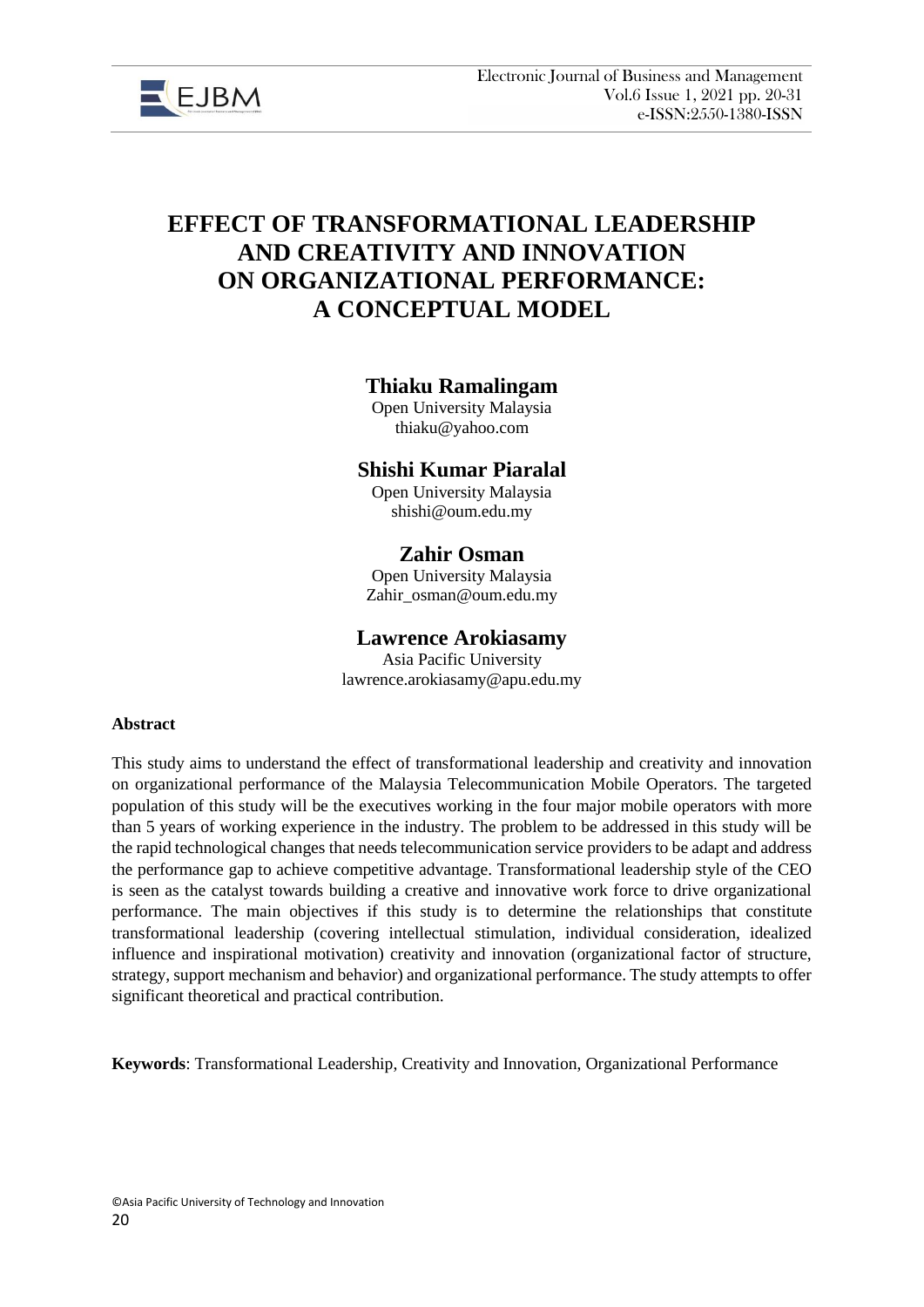

# **EFFECT OF TRANSFORMATIONAL LEADERSHIP AND CREATIVITY AND INNOVATION ON ORGANIZATIONAL PERFORMANCE: A CONCEPTUAL MODEL**

# **Thiaku Ramalingam**

Open University Malaysia thiaku@yahoo.com

# **Shishi Kumar Piaralal**

Open University Malaysia shishi@oum.edu.my

# **Zahir Osman**

Open University Malaysia Zahir\_osman@oum.edu.my

## **Lawrence Arokiasamy**

Asia Pacific University lawrence.arokiasamy@apu.edu.my

#### **Abstract**

This study aims to understand the effect of transformational leadership and creativity and innovation on organizational performance of the Malaysia Telecommunication Mobile Operators. The targeted population of this study will be the executives working in the four major mobile operators with more than 5 years of working experience in the industry. The problem to be addressed in this study will be the rapid technological changes that needs telecommunication service providers to be adapt and address the performance gap to achieve competitive advantage. Transformational leadership style of the CEO is seen as the catalyst towards building a creative and innovative work force to drive organizational performance. The main objectives if this study is to determine the relationships that constitute transformational leadership (covering intellectual stimulation, individual consideration, idealized influence and inspirational motivation) creativity and innovation (organizational factor of structure, strategy, support mechanism and behavior) and organizational performance. The study attempts to offer significant theoretical and practical contribution.

**Keywords**: Transformational Leadership, Creativity and Innovation, Organizational Performance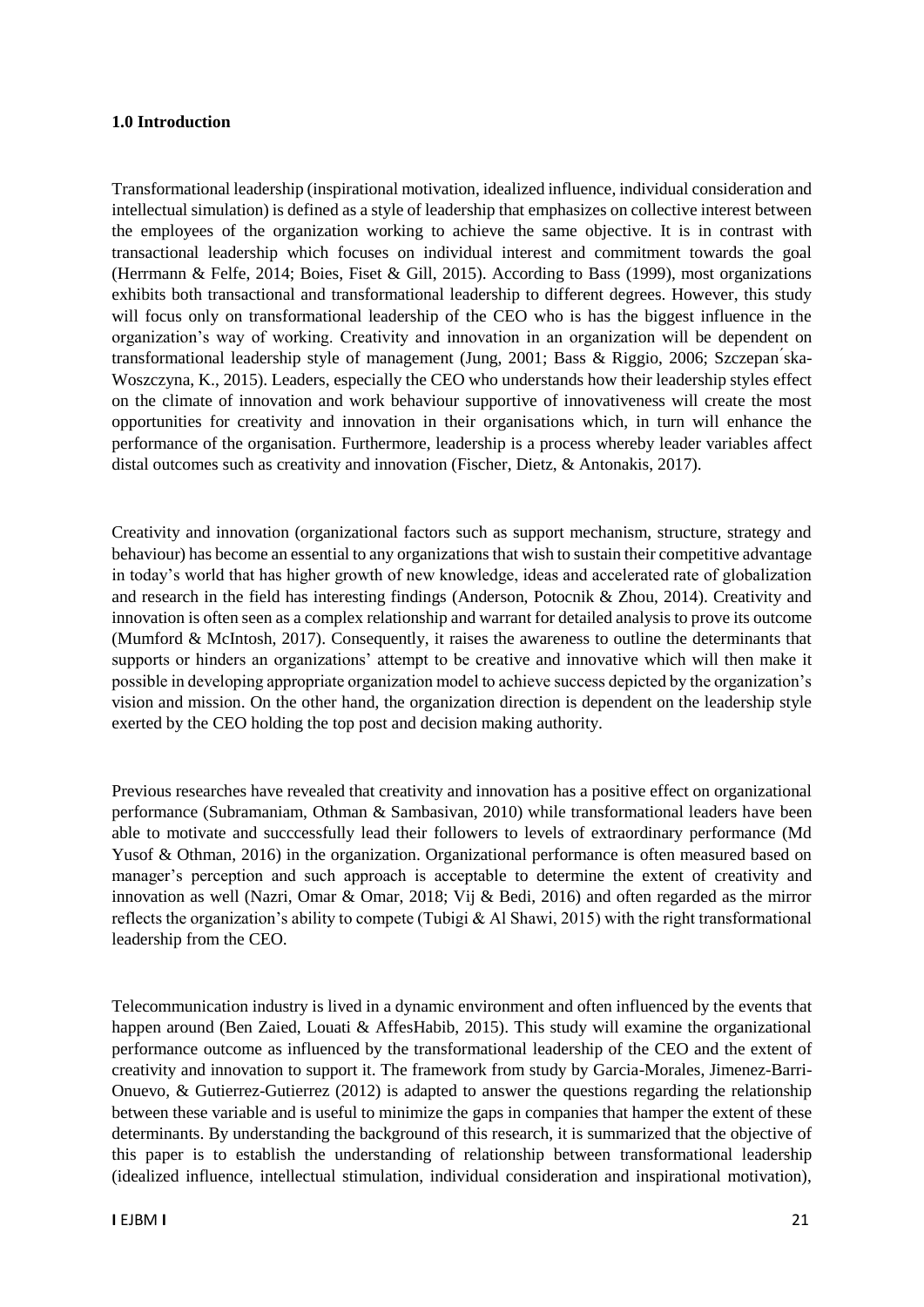#### **1.0 Introduction**

Transformational leadership (inspirational motivation, idealized influence, individual consideration and intellectual simulation) is defined as a style of leadership that emphasizes on collective interest between the employees of the organization working to achieve the same objective. It is in contrast with transactional leadership which focuses on individual interest and commitment towards the goal (Herrmann & Felfe, 2014; Boies, Fiset & Gill, 2015). According to Bass (1999), most organizations exhibits both transactional and transformational leadership to different degrees. However, this study will focus only on transformational leadership of the CEO who is has the biggest influence in the organization's way of working. Creativity and innovation in an organization will be dependent on transformational leadership style of management (Jung, 2001; Bass & Riggio, 2006; Szczepan ́ska-Woszczyna, K., 2015). Leaders, especially the CEO who understands how their leadership styles effect on the climate of innovation and work behaviour supportive of innovativeness will create the most opportunities for creativity and innovation in their organisations which, in turn will enhance the performance of the organisation. Furthermore, leadership is a process whereby leader variables affect distal outcomes such as creativity and innovation (Fischer, Dietz, & Antonakis, 2017).

Creativity and innovation (organizational factors such as support mechanism, structure, strategy and behaviour) has become an essential to any organizations that wish to sustain their competitive advantage in today's world that has higher growth of new knowledge, ideas and accelerated rate of globalization and research in the field has interesting findings (Anderson, Potocnik & Zhou, 2014). Creativity and innovation is often seen as a complex relationship and warrant for detailed analysis to prove its outcome (Mumford & McIntosh, 2017). Consequently, it raises the awareness to outline the determinants that supports or hinders an organizations' attempt to be creative and innovative which will then make it possible in developing appropriate organization model to achieve success depicted by the organization's vision and mission. On the other hand, the organization direction is dependent on the leadership style exerted by the CEO holding the top post and decision making authority.

Previous researches have revealed that creativity and innovation has a positive effect on organizational performance (Subramaniam, Othman & Sambasivan, 2010) while transformational leaders have been able to motivate and succcessfully lead their followers to levels of extraordinary performance (Md Yusof & Othman, 2016) in the organization. Organizational performance is often measured based on manager's perception and such approach is acceptable to determine the extent of creativity and innovation as well (Nazri, Omar & Omar, 2018; Vij & Bedi, 2016) and often regarded as the mirror reflects the organization's ability to compete (Tubigi & Al Shawi, 2015) with the right transformational leadership from the CEO.

Telecommunication industry is lived in a dynamic environment and often influenced by the events that happen around (Ben Zaied, Louati & AffesHabib, 2015). This study will examine the organizational performance outcome as influenced by the transformational leadership of the CEO and the extent of creativity and innovation to support it. The framework from study by Garcia-Morales, Jimenez-Barri-Onuevo, & Gutierrez-Gutierrez (2012) is adapted to answer the questions regarding the relationship between these variable and is useful to minimize the gaps in companies that hamper the extent of these determinants. By understanding the background of this research, it is summarized that the objective of this paper is to establish the understanding of relationship between transformational leadership (idealized influence, intellectual stimulation, individual consideration and inspirational motivation),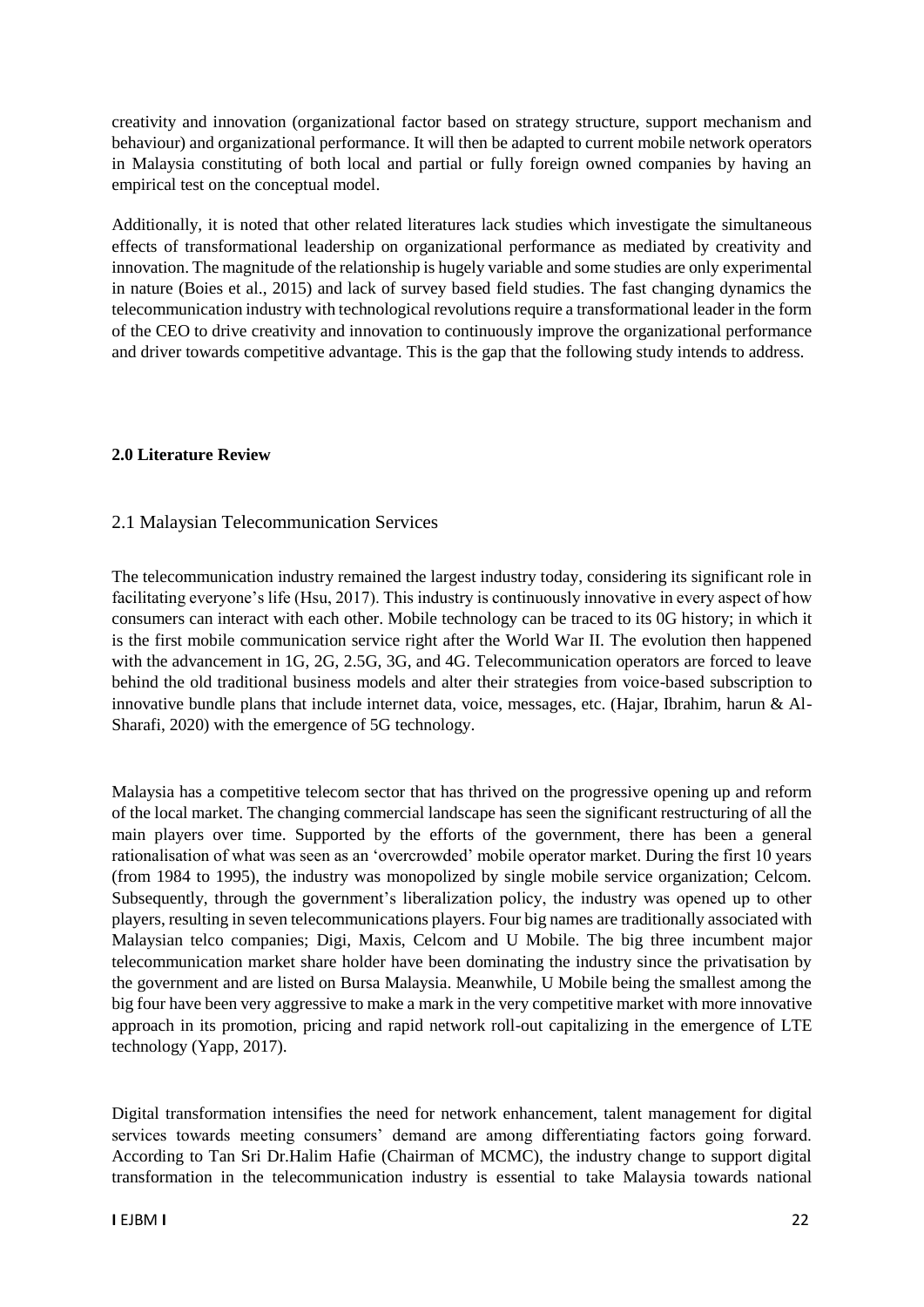creativity and innovation (organizational factor based on strategy structure, support mechanism and behaviour) and organizational performance. It will then be adapted to current mobile network operators in Malaysia constituting of both local and partial or fully foreign owned companies by having an empirical test on the conceptual model.

Additionally, it is noted that other related literatures lack studies which investigate the simultaneous effects of transformational leadership on organizational performance as mediated by creativity and innovation. The magnitude of the relationship is hugely variable and some studies are only experimental in nature (Boies et al., 2015) and lack of survey based field studies. The fast changing dynamics the telecommunication industry with technological revolutions require a transformational leader in the form of the CEO to drive creativity and innovation to continuously improve the organizational performance and driver towards competitive advantage. This is the gap that the following study intends to address.

### **2.0 Literature Review**

### 2.1 Malaysian Telecommunication Services

The telecommunication industry remained the largest industry today, considering its significant role in facilitating everyone's life (Hsu, 2017). This industry is continuously innovative in every aspect of how consumers can interact with each other. Mobile technology can be traced to its 0G history; in which it is the first mobile communication service right after the World War II. The evolution then happened with the advancement in 1G, 2G, 2.5G, 3G, and 4G. Telecommunication operators are forced to leave behind the old traditional business models and alter their strategies from voice-based subscription to innovative bundle plans that include internet data, voice, messages, etc. (Hajar, Ibrahim, harun & Al-Sharafi, 2020) with the emergence of 5G technology.

Malaysia has a competitive telecom sector that has thrived on the progressive opening up and reform of the local market. The changing commercial landscape has seen the significant restructuring of all the main players over time. Supported by the efforts of the government, there has been a general rationalisation of what was seen as an 'overcrowded' mobile operator market. During the first 10 years (from 1984 to 1995), the industry was monopolized by single mobile service organization; Celcom. Subsequently, through the government's liberalization policy, the industry was opened up to other players, resulting in seven telecommunications players. Four big names are traditionally associated with Malaysian telco companies; Digi, Maxis, Celcom and U Mobile. The big three incumbent major telecommunication market share holder have been dominating the industry since the privatisation by the government and are listed on Bursa Malaysia. Meanwhile, U Mobile being the smallest among the big four have been very aggressive to make a mark in the very competitive market with more innovative approach in its promotion, pricing and rapid network roll-out capitalizing in the emergence of LTE technology (Yapp, 2017).

Digital transformation intensifies the need for network enhancement, talent management for digital services towards meeting consumers' demand are among differentiating factors going forward. According to Tan Sri Dr.Halim Hafie (Chairman of MCMC), the industry change to support digital transformation in the telecommunication industry is essential to take Malaysia towards national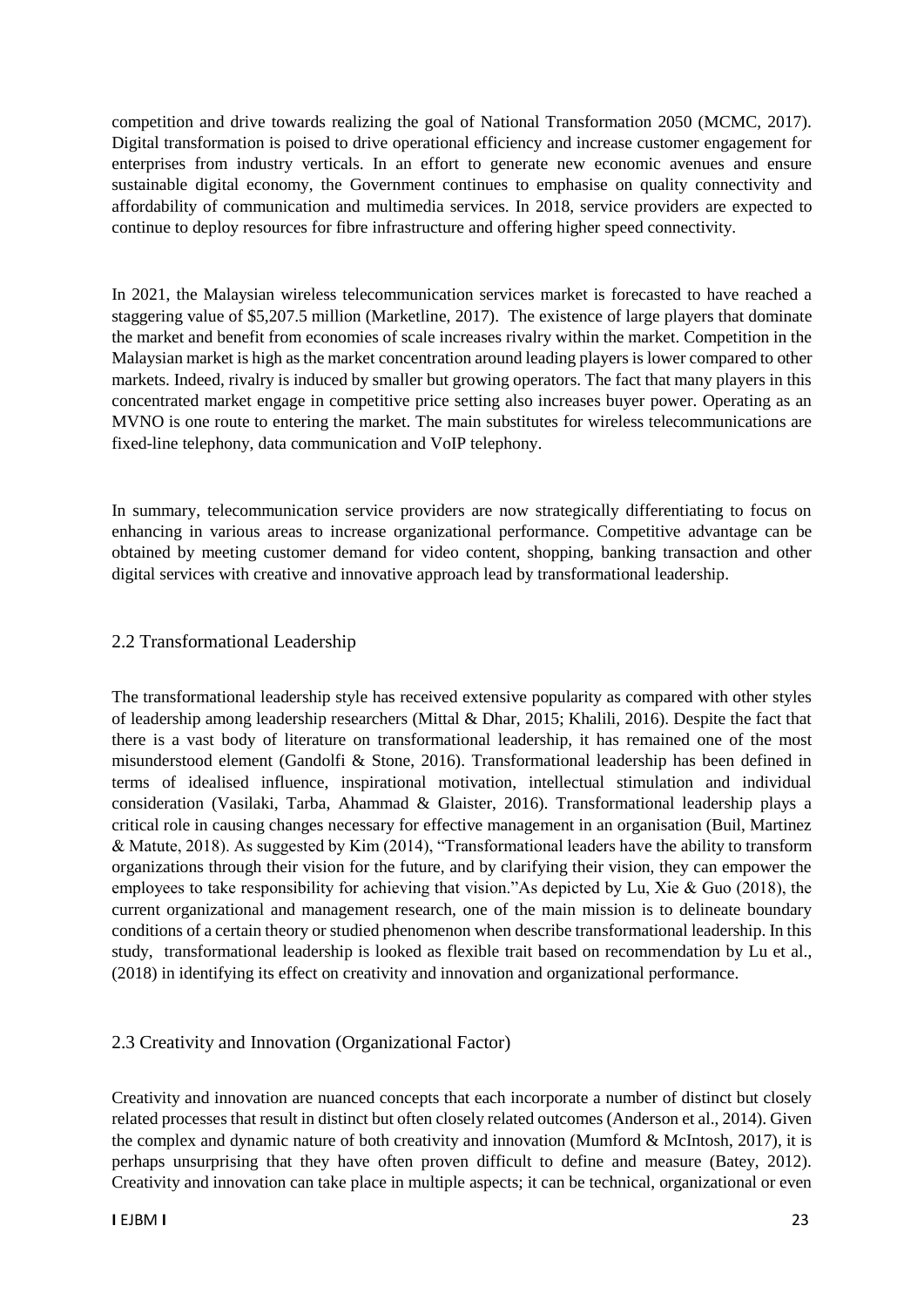competition and drive towards realizing the goal of National Transformation 2050 (MCMC, 2017). Digital transformation is poised to drive operational efficiency and increase customer engagement for enterprises from industry verticals. In an effort to generate new economic avenues and ensure sustainable digital economy, the Government continues to emphasise on quality connectivity and affordability of communication and multimedia services. In 2018, service providers are expected to continue to deploy resources for fibre infrastructure and offering higher speed connectivity.

In 2021, the Malaysian wireless telecommunication services market is forecasted to have reached a staggering value of \$5,207.5 million (Marketline, 2017). The existence of large players that dominate the market and benefit from economies of scale increases rivalry within the market. Competition in the Malaysian market is high as the market concentration around leading players is lower compared to other markets. Indeed, rivalry is induced by smaller but growing operators. The fact that many players in this concentrated market engage in competitive price setting also increases buyer power. Operating as an MVNO is one route to entering the market. The main substitutes for wireless telecommunications are fixed-line telephony, data communication and VoIP telephony.

In summary, telecommunication service providers are now strategically differentiating to focus on enhancing in various areas to increase organizational performance. Competitive advantage can be obtained by meeting customer demand for video content, shopping, banking transaction and other digital services with creative and innovative approach lead by transformational leadership.

# 2.2 Transformational Leadership

The transformational leadership style has received extensive popularity as compared with other styles of leadership among leadership researchers (Mittal & Dhar, 2015; Khalili, 2016). Despite the fact that there is a vast body of literature on transformational leadership, it has remained one of the most misunderstood element (Gandolfi & Stone, 2016). Transformational leadership has been defined in terms of idealised influence, inspirational motivation, intellectual stimulation and individual consideration (Vasilaki, Tarba, Ahammad & Glaister, 2016). Transformational leadership plays a critical role in causing changes necessary for effective management in an organisation (Buil, Martinez & Matute, 2018). As suggested by Kim (2014), "Transformational leaders have the ability to transform organizations through their vision for the future, and by clarifying their vision, they can empower the employees to take responsibility for achieving that vision."As depicted by Lu, Xie & Guo (2018), the current organizational and management research, one of the main mission is to delineate boundary conditions of a certain theory or studied phenomenon when describe transformational leadership. In this study, transformational leadership is looked as flexible trait based on recommendation by Lu et al., (2018) in identifying its effect on creativity and innovation and organizational performance.

# 2.3 Creativity and Innovation (Organizational Factor)

Creativity and innovation are nuanced concepts that each incorporate a number of distinct but closely related processes that result in distinct but often closely related outcomes (Anderson et al., 2014). Given the complex and dynamic nature of both creativity and innovation (Mumford & McIntosh, 2017), it is perhaps unsurprising that they have often proven difficult to define and measure (Batey, 2012). Creativity and innovation can take place in multiple aspects; it can be technical, organizational or even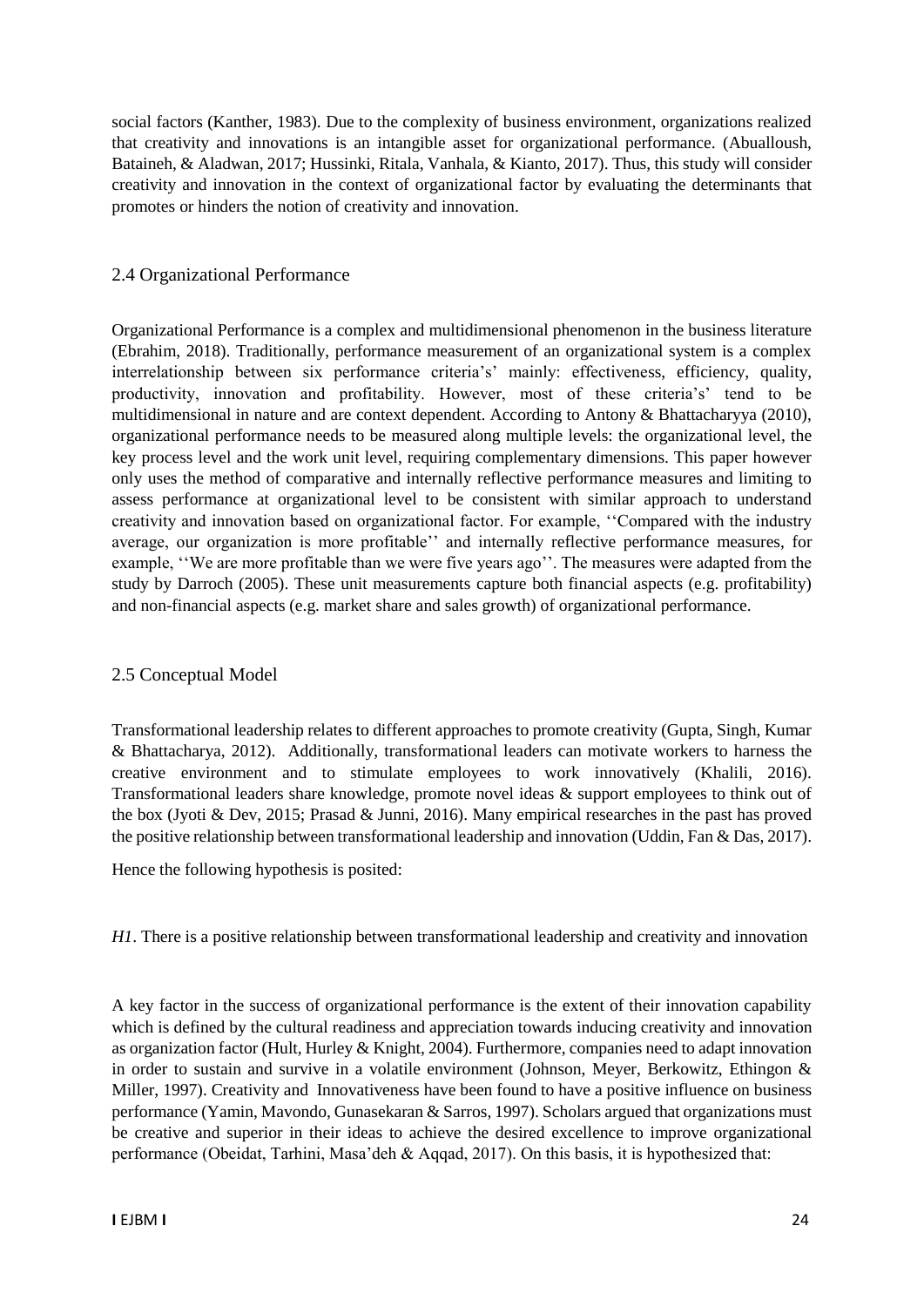social factors (Kanther, 1983). Due to the complexity of business environment, organizations realized that creativity and innovations is an intangible asset for organizational performance. (Abualloush, Bataineh, & Aladwan, 2017; Hussinki, Ritala, Vanhala, & Kianto, 2017). Thus, this study will consider creativity and innovation in the context of organizational factor by evaluating the determinants that promotes or hinders the notion of creativity and innovation.

## 2.4 Organizational Performance

Organizational Performance is a complex and multidimensional phenomenon in the business literature (Ebrahim, 2018). Traditionally, performance measurement of an organizational system is a complex interrelationship between six performance criteria's' mainly: effectiveness, efficiency, quality, productivity, innovation and profitability. However, most of these criteria's' tend to be multidimensional in nature and are context dependent. According to Antony & Bhattacharyya (2010), organizational performance needs to be measured along multiple levels: the organizational level, the key process level and the work unit level, requiring complementary dimensions. This paper however only uses the method of comparative and internally reflective performance measures and limiting to assess performance at organizational level to be consistent with similar approach to understand creativity and innovation based on organizational factor. For example, ''Compared with the industry average, our organization is more profitable'' and internally reflective performance measures, for example, ''We are more profitable than we were five years ago''. The measures were adapted from the study by Darroch (2005). These unit measurements capture both financial aspects (e.g. profitability) and non-financial aspects (e.g. market share and sales growth) of organizational performance.

## 2.5 Conceptual Model

Transformational leadership relates to different approaches to promote creativity (Gupta, Singh, Kumar & Bhattacharya, 2012). Additionally, transformational leaders can motivate workers to harness the creative environment and to stimulate employees to work innovatively (Khalili, 2016). Transformational leaders share knowledge, promote novel ideas & support employees to think out of the box (Jyoti & Dev, 2015; Prasad & Junni, 2016). Many empirical researches in the past has proved the positive relationship between transformational leadership and innovation (Uddin, Fan & Das, 2017).

Hence the following hypothesis is posited:

*H1*. There is a positive relationship between transformational leadership and creativity and innovation

A key factor in the success of organizational performance is the extent of their innovation capability which is defined by the cultural readiness and appreciation towards inducing creativity and innovation as organization factor (Hult, Hurley & Knight, 2004). Furthermore, companies need to adapt innovation in order to sustain and survive in a volatile environment (Johnson, Meyer, Berkowitz, Ethingon & Miller, 1997). Creativity and Innovativeness have been found to have a positive influence on business performance (Yamin, Mavondo, Gunasekaran & Sarros, 1997). Scholars argued that organizations must be creative and superior in their ideas to achieve the desired excellence to improve organizational performance (Obeidat, Tarhini, Masa'deh & Aqqad, 2017). On this basis, it is hypothesized that: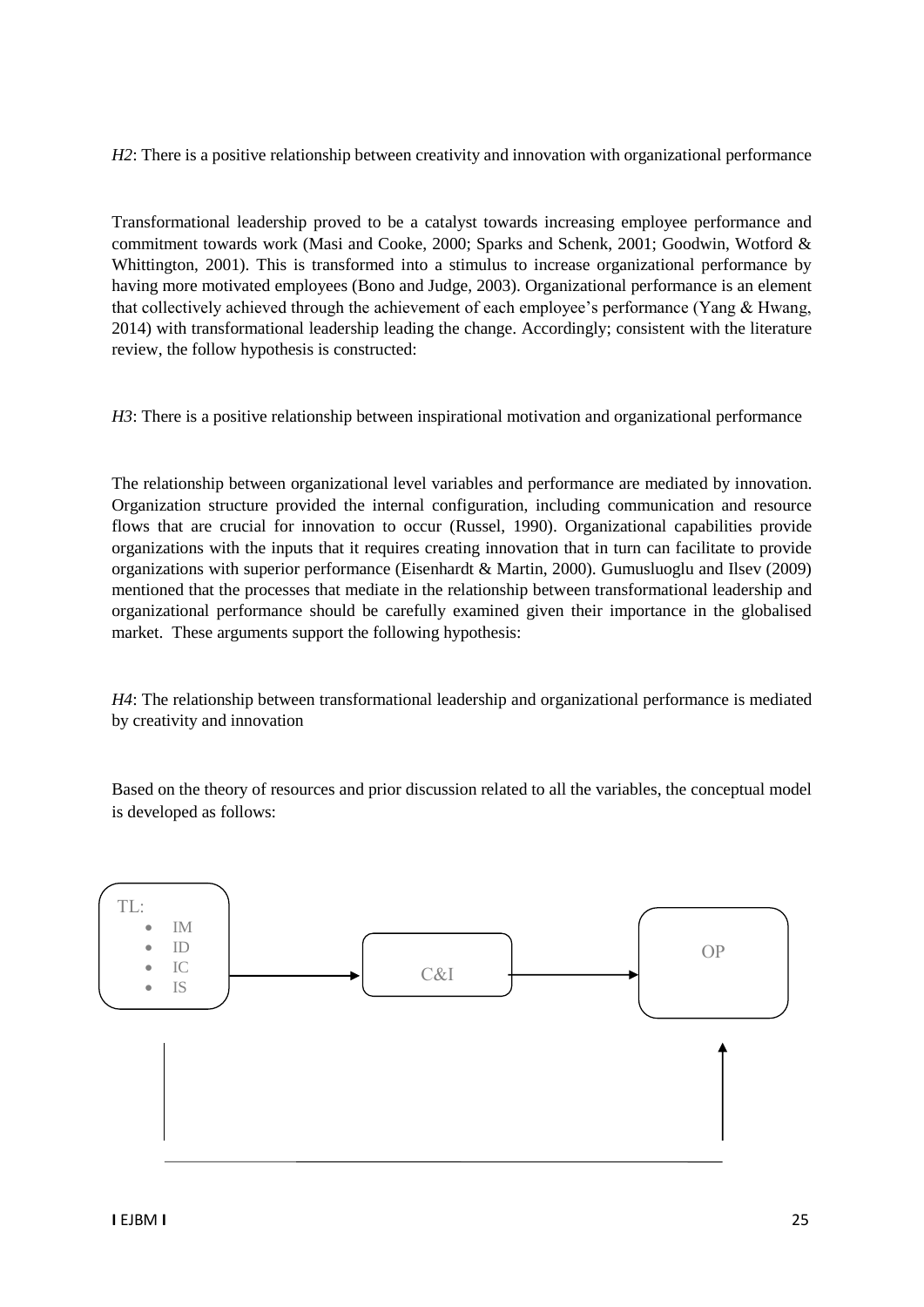*H2*: There is a positive relationship between creativity and innovation with organizational performance

Transformational leadership proved to be a catalyst towards increasing employee performance and commitment towards work (Masi and Cooke, 2000; Sparks and Schenk, 2001; Goodwin, Wotford & Whittington, 2001). This is transformed into a stimulus to increase organizational performance by having more motivated employees (Bono and Judge, 2003). Organizational performance is an element that collectively achieved through the achievement of each employee's performance (Yang & Hwang, 2014) with transformational leadership leading the change. Accordingly; consistent with the literature review, the follow hypothesis is constructed:

*H3*: There is a positive relationship between inspirational motivation and organizational performance

The relationship between organizational level variables and performance are mediated by innovation. Organization structure provided the internal configuration, including communication and resource flows that are crucial for innovation to occur (Russel, 1990). Organizational capabilities provide organizations with the inputs that it requires creating innovation that in turn can facilitate to provide organizations with superior performance (Eisenhardt & Martin, 2000). Gumusluoglu and Ilsev (2009) mentioned that the processes that mediate in the relationship between transformational leadership and organizational performance should be carefully examined given their importance in the globalised market. These arguments support the following hypothesis:

*H4*: The relationship between transformational leadership and organizational performance is mediated by creativity and innovation

Based on the theory of resources and prior discussion related to all the variables, the conceptual model is developed as follows:

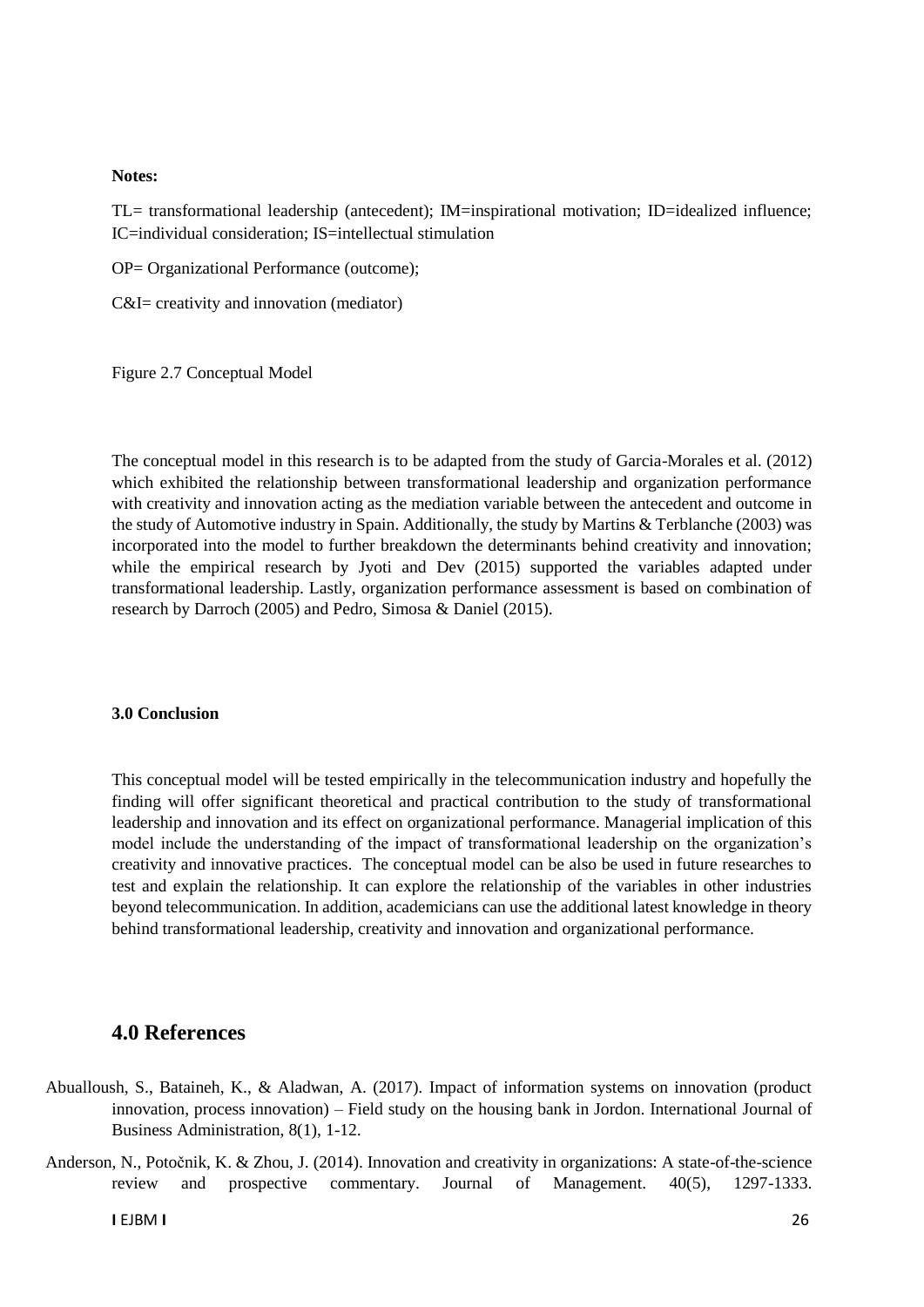#### **Notes:**

TL= transformational leadership (antecedent); IM=inspirational motivation; ID=idealized influence; IC=individual consideration; IS=intellectual stimulation

OP= Organizational Performance (outcome);

C&I= creativity and innovation (mediator)

Figure 2.7 Conceptual Model

The conceptual model in this research is to be adapted from the study of Garcia-Morales et al. (2012) which exhibited the relationship between transformational leadership and organization performance with creativity and innovation acting as the mediation variable between the antecedent and outcome in the study of Automotive industry in Spain. Additionally, the study by Martins & Terblanche (2003) was incorporated into the model to further breakdown the determinants behind creativity and innovation; while the empirical research by Jyoti and Dev (2015) supported the variables adapted under transformational leadership. Lastly, organization performance assessment is based on combination of research by Darroch (2005) and Pedro, Simosa & Daniel (2015).

#### **3.0 Conclusion**

This conceptual model will be tested empirically in the telecommunication industry and hopefully the finding will offer significant theoretical and practical contribution to the study of transformational leadership and innovation and its effect on organizational performance. Managerial implication of this model include the understanding of the impact of transformational leadership on the organization's creativity and innovative practices. The conceptual model can be also be used in future researches to test and explain the relationship. It can explore the relationship of the variables in other industries beyond telecommunication. In addition, academicians can use the additional latest knowledge in theory behind transformational leadership, creativity and innovation and organizational performance.

# **4.0 References**

- Abualloush, S., Bataineh, K., & Aladwan, A. (2017). Impact of information systems on innovation (product innovation, process innovation) – Field study on the housing bank in Jordon. International Journal of Business Administration, 8(1), 1-12.
- Anderson, N., Potočnik, K. & Zhou, J. (2014). Innovation and creativity in organizations: A state-of-the-science review and prospective commentary. Journal of Management. 40(5), 1297-1333.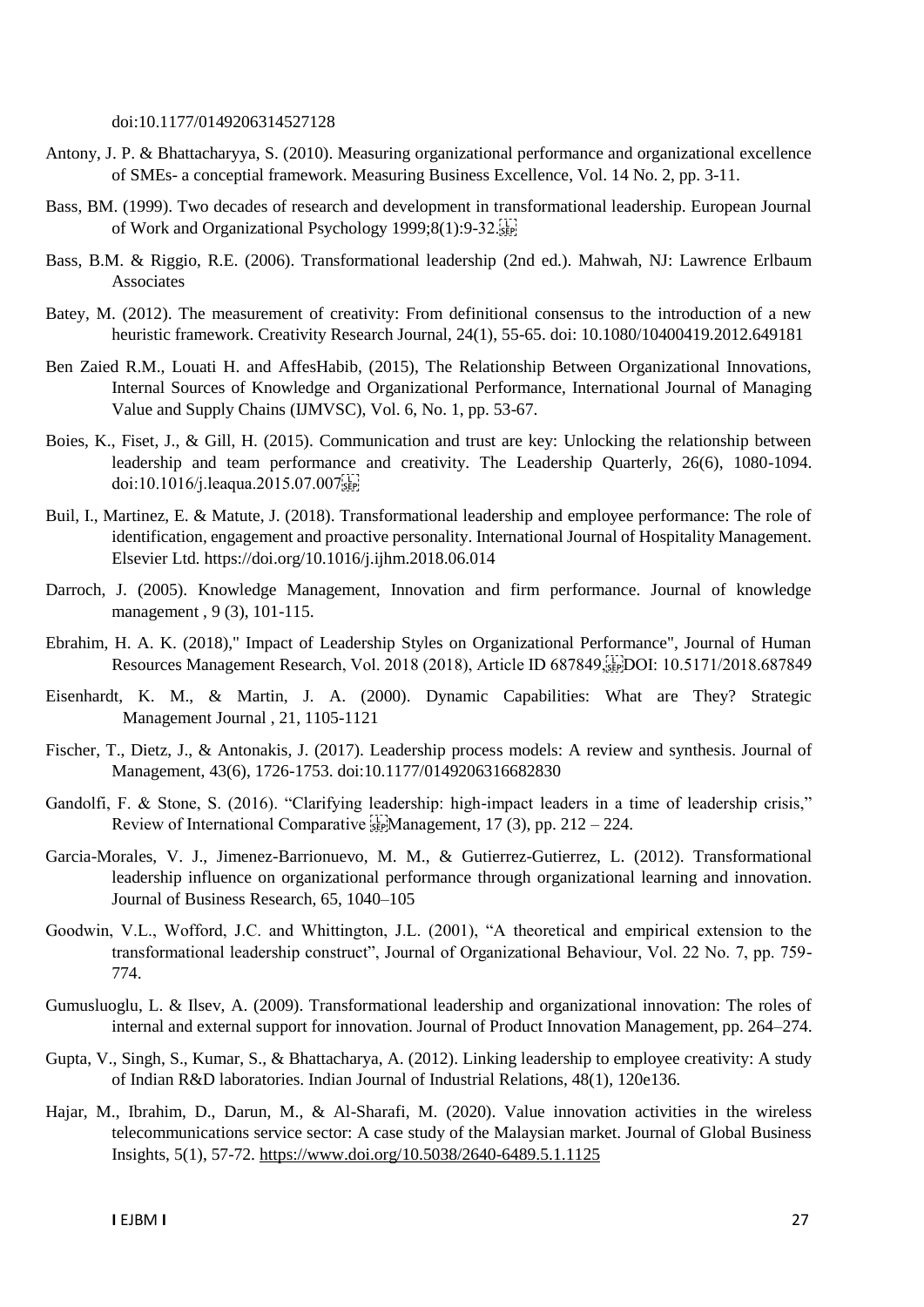doi:10.1177/0149206314527128

- Antony, J. P. & Bhattacharyya, S. (2010). Measuring organizational performance and organizational excellence of SMEs- a conceptial framework. [Measuring Business Excellence,](https://www.emerald.com/insight/publication/issn/1368-3047) Vol. 14 No. 2, pp. 3-11.
- Bass, BM. (1999). Two decades of research and development in transformational leadership. European Journal of Work and Organizational Psychology 1999;8(1):9-32.
- Bass, B.M. & Riggio, R.E. (2006). Transformational leadership (2nd ed.). Mahwah, NJ: Lawrence Erlbaum Associates
- Batey, M. (2012). The measurement of creativity: From definitional consensus to the introduction of a new heuristic framework. Creativity Research Journal, 24(1), 55-65. doi: 10.1080/10400419.2012.649181
- Ben Zaied R.M., Louati H. and AffesHabib, (2015), The Relationship Between Organizational Innovations, Internal Sources of Knowledge and Organizational Performance, International Journal of Managing Value and Supply Chains (IJMVSC), Vol. 6, No. 1, pp. 53-67.
- Boies, K., Fiset, J., & Gill, H. (2015). Communication and trust are key: Unlocking the relationship between leadership and team performance and creativity. The Leadership Quarterly, 26(6), 1080-1094. doi:10.1016/j.leaqua.2015.07.007
- Buil, I., Martinez, E. & Matute, J. (2018). Transformational leadership and employee performance: The role of identification, engagement and proactive personality. International Journal of Hospitality Management. Elsevier Ltd. https://doi.org/10.1016/j.ijhm.2018.06.014
- Darroch, J. (2005). Knowledge Management, Innovation and firm performance. Journal of knowledge management , 9 (3), 101-115.
- Ebrahim, H. A. K. (2018)," Impact of Leadership Styles on Organizational Performance", Journal of Human Resources Management Research, Vol. 2018 (2018), Article ID 687849, FIDOI: 10.5171/2018.687849
- Eisenhardt, K. M., & Martin, J. A. (2000). Dynamic Capabilities: What are They? Strategic Management Journal , 21, 1105-1121
- Fischer, T., Dietz, J., & Antonakis, J. (2017). Leadership process models: A review and synthesis. Journal of Management, 43(6), 1726-1753. doi:10.1177/0149206316682830
- Gandolfi, F. & Stone, S. (2016). "Clarifying leadership: high-impact leaders in a time of leadership crisis," Review of International Comparative  $\frac{17}{25}$ Management, 17 (3), pp. 212 – 224.
- Garcia-Morales, V. J., Jimenez-Barrionuevo, M. M., & Gutierrez-Gutierrez, L. (2012). Transformational leadership influence on organizational performance through organizational learning and innovation. Journal of Business Research, 65, 1040–105
- Goodwin, V.L., Wofford, J.C. and Whittington, J.L. (2001), "A theoretical and empirical extension to the transformational leadership construct", Journal of Organizational Behaviour, Vol. 22 No. 7, pp. 759- 774.
- Gumusluoglu, L. & Ilsev, A. (2009). Transformational leadership and organizational innovation: The roles of internal and external support for innovation. Journal of Product Innovation Management, pp. 264–274.
- Gupta, V., Singh, S., Kumar, S., & Bhattacharya, A. (2012). Linking leadership to employee creativity: A study of Indian R&D laboratories. Indian Journal of Industrial Relations, 48(1), 120e136.
- Hajar, M., Ibrahim, D., Darun, M., & Al-Sharafi, M. (2020). Value innovation activities in the wireless telecommunications service sector: A case study of the Malaysian market. Journal of Global Business Insights, 5(1), 57-72.<https://www.doi.org/10.5038/2640-6489.5.1.1125>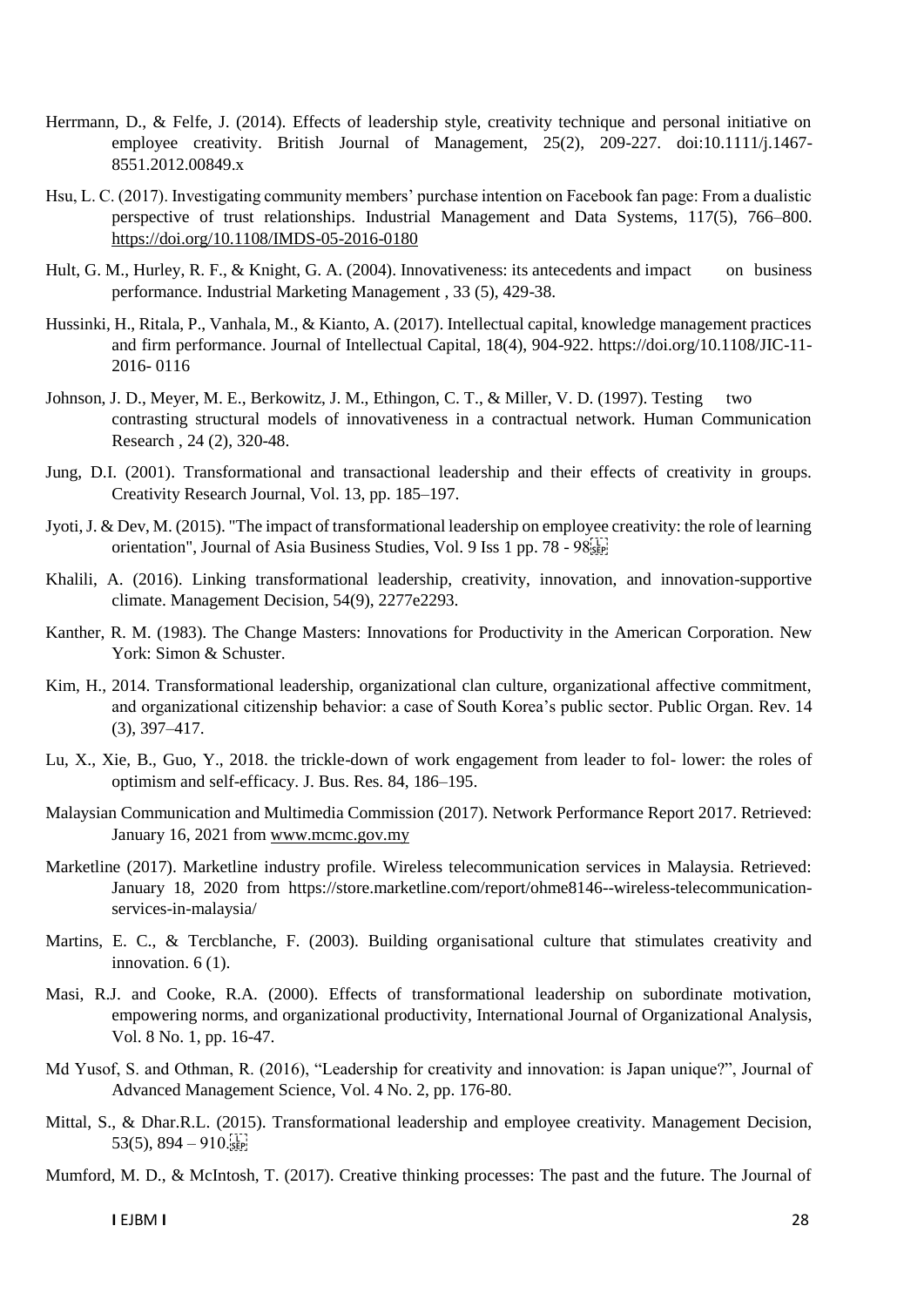- Herrmann, D., & Felfe, J. (2014). Effects of leadership style, creativity technique and personal initiative on employee creativity. British Journal of Management, 25(2), 209-227. doi:10.1111/j.1467- 8551.2012.00849.x
- Hsu, L. C. (2017). Investigating community members' purchase intention on Facebook fan page: From a dualistic perspective of trust relationships. Industrial Management and Data Systems, 117(5), 766–800. <https://doi.org/10.1108/IMDS-05-2016-0180>
- Hult, G. M., Hurley, R. F., & Knight, G. A. (2004). Innovativeness: its antecedents and impact on business performance. Industrial Marketing Management , 33 (5), 429-38.
- Hussinki, H., Ritala, P., Vanhala, M., & Kianto, A. (2017). Intellectual capital, knowledge management practices and firm performance. Journal of Intellectual Capital, 18(4), 904-922. https://doi.org/10.1108/JIC-11- 2016- 0116
- Johnson, J. D., Meyer, M. E., Berkowitz, J. M., Ethingon, C. T., & Miller, V. D. (1997). Testing two contrasting structural models of innovativeness in a contractual network. Human Communication Research , 24 (2), 320-48.
- Jung, D.I. (2001). Transformational and transactional leadership and their effects of creativity in groups. Creativity Research Journal, Vol. 13, pp. 185–197.
- Jyoti, J. & Dev, M. (2015). "The impact of transformational leadership on employee creativity: the role of learning orientation", Journal of Asia Business Studies, Vol. 9 Iss 1 pp. 78 - 98
- Khalili, A. (2016). Linking transformational leadership, creativity, innovation, and innovation-supportive climate. Management Decision, 54(9), 2277e2293.
- Kanther, R. M. (1983). The Change Masters: Innovations for Productivity in the American Corporation. New York: Simon & Schuster.
- Kim, H., 2014. Transformational leadership, organizational clan culture, organizational affective commitment, and organizational citizenship behavior: a case of South Korea's public sector. Public Organ. Rev. 14 (3), 397–417.
- Lu, X., Xie, B., Guo, Y., 2018. the trickle-down of work engagement from leader to fol- lower: the roles of optimism and self-efficacy. J. Bus. Res. 84, 186–195.
- Malaysian Communication and Multimedia Commission (2017). Network Performance Report 2017. Retrieved: January 16, 2021 from [www.mcmc.gov.my](http://www.mcmc.gov.my/)
- Marketline (2017). Marketline industry profile. Wireless telecommunication services in Malaysia. Retrieved: January 18, 2020 from [https://store.marketline.com/report/ohme8146--wireless-telecommunication](https://store.marketline.com/report/ohme8146--wireless-telecommunication-services-in-malaysia/)[services-in-malaysia/](https://store.marketline.com/report/ohme8146--wireless-telecommunication-services-in-malaysia/)
- Martins, E. C., & Tercblanche, F. (2003). Building organisational culture that stimulates creativity and innovation. 6(1).
- Masi, R.J. and Cooke, R.A. (2000). Effects of transformational leadership on subordinate motivation, empowering norms, and organizational productivity, International Journal of Organizational Analysis, Vol. 8 No. 1, pp. 16-47.
- Md Yusof, S. and Othman, R. (2016), "Leadership for creativity and innovation: is Japan unique?", Journal of Advanced Management Science, Vol. 4 No. 2, pp. 176-80.
- Mittal, S., & Dhar.R.L. (2015). Transformational leadership and employee creativity. Management Decision, 53(5),  $894 - 910$ . SEP
- Mumford, M. D., & McIntosh, T. (2017). Creative thinking processes: The past and the future. The Journal of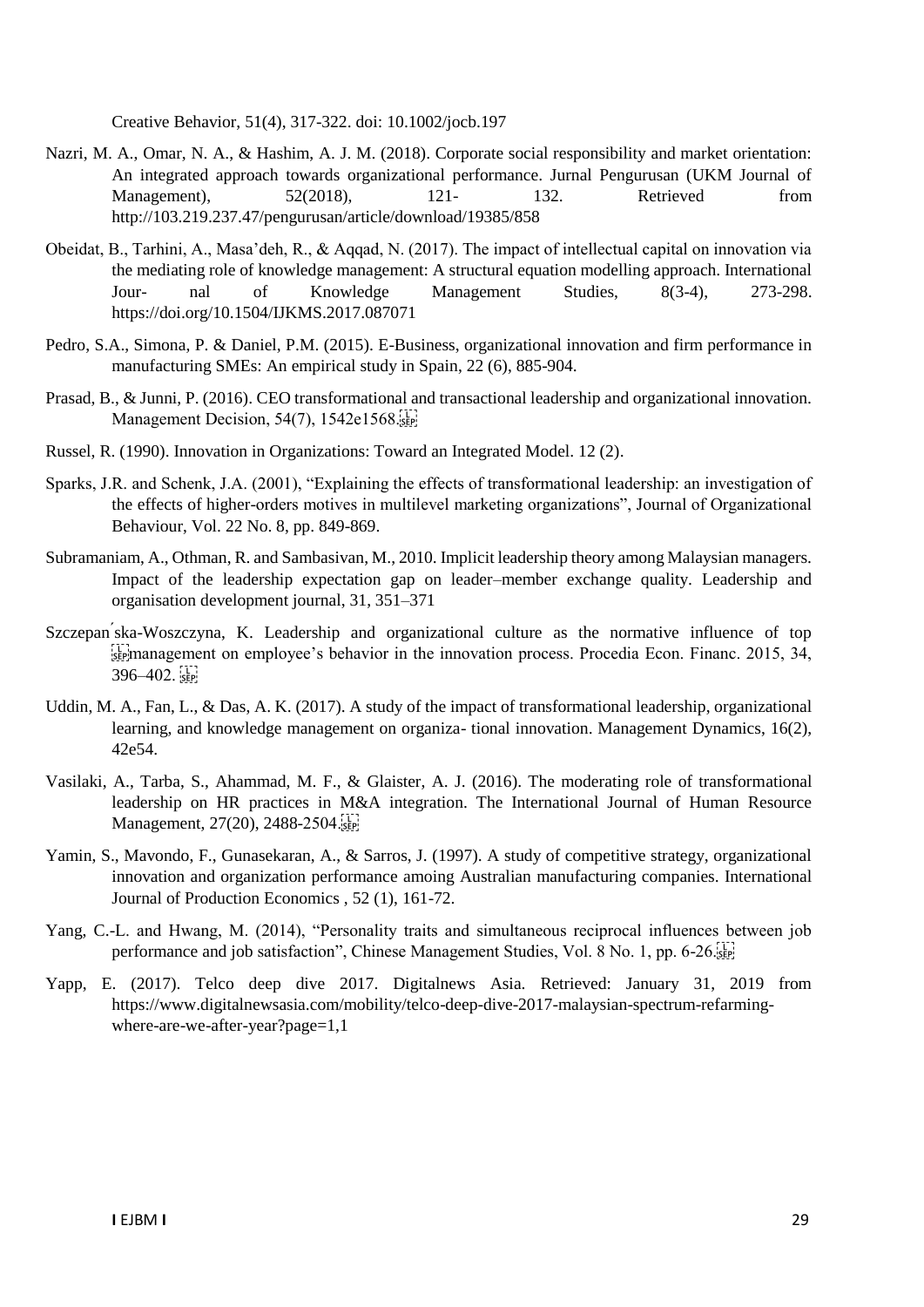Creative Behavior, 51(4), 317-322. doi: 10.1002/jocb.197

- Nazri, M. A., Omar, N. A., & Hashim, A. J. M. (2018). Corporate social responsibility and market orientation: An integrated approach towards organizational performance. Jurnal Pengurusan (UKM Journal of Management), 52(2018), 121- 132. Retrieved from http://103.219.237.47/pengurusan/article/download/19385/858
- Obeidat, B., Tarhini, A., Masa'deh, R., & Aqqad, N. (2017). The impact of intellectual capital on innovation via the mediating role of knowledge management: A structural equation modelling approach. International Jour- nal of Knowledge Management Studies, 8(3-4), 273-298. https://doi.org/10.1504/IJKMS.2017.087071
- Pedro, S.A., Simona, P. & Daniel, P.M. (2015). E-Business, organizational innovation and firm performance in manufacturing SMEs: An empirical study in Spain, 22 (6), 885-904.
- Prasad, B., & Junni, P. (2016). CEO transformational and transactional leadership and organizational innovation. Management Decision, 54(7), 1542e1568.
- Russel, R. (1990). Innovation in Organizations: Toward an Integrated Model. 12 (2).
- Sparks, J.R. and Schenk, J.A. (2001), "Explaining the effects of transformational leadership: an investigation of the effects of higher-orders motives in multilevel marketing organizations", Journal of Organizational Behaviour, Vol. 22 No. 8, pp. 849-869.
- Subramaniam, A., Othman, R. and Sambasivan, M., 2010. Implicit leadership theory among Malaysian managers. Impact of the leadership expectation gap on leader–member exchange quality. Leadership and organisation development journal, 31, 351–371
- Szczepan ska-Woszczyna, K. Leadership and organizational culture as the normative influence of top  $\sum_{s \in \mathcal{S}}$ management on employee's behavior in the innovation process. Procedia Econ. Financ. 2015, 34,  $396-402.$
- Uddin, M. A., Fan, L., & Das, A. K. (2017). A study of the impact of transformational leadership, organizational learning, and knowledge management on organiza- tional innovation. Management Dynamics, 16(2), 42e54.
- Vasilaki, A., Tarba, S., Ahammad, M. F., & Glaister, A. J. (2016). The moderating role of transformational leadership on HR practices in M&A integration. The International Journal of Human Resource Management, 27(20), 2488-2504. EP!
- Yamin, S., Mavondo, F., Gunasekaran, A., & Sarros, J. (1997). A study of competitive strategy, organizational innovation and organization performance amoing Australian manufacturing companies. International Journal of Production Economics , 52 (1), 161-72.
- Yang, C.-L. and Hwang, M. (2014), "Personality traits and simultaneous reciprocal influences between job performance and job satisfaction", Chinese Management Studies, Vol. 8 No. 1, pp. 6-26.
- Yapp, E. (2017). Telco deep dive 2017. Digitalnews Asia. Retrieved: January 31, 2019 from [https://www.digitalnewsasia.com/mobility/telco-deep-dive-2017-malaysian-spectrum-refarming](https://www.digitalnewsasia.com/mobility/telco-deep-dive-2017-malaysian-spectrum-refarming-where-are-we-after-year?page=1,1)[where-are-we-after-year?page=1,1](https://www.digitalnewsasia.com/mobility/telco-deep-dive-2017-malaysian-spectrum-refarming-where-are-we-after-year?page=1,1)